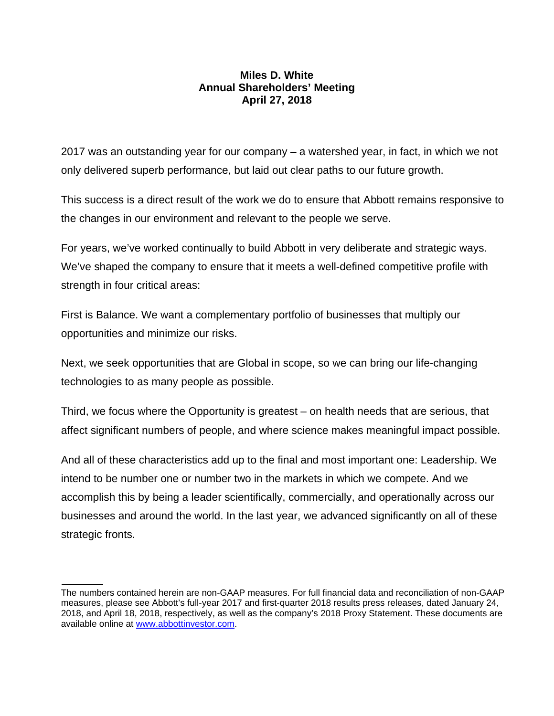## **Miles D. White Annual Shareholders' Meeting April 27, 2018**

2017 was an outstanding year for our company – a watershed year, in fact, in which we not only delivered superb performance, but laid out clear paths to our future growth.

This success is a direct result of the work we do to ensure that Abbott remains responsive to the changes in our environment and relevant to the people we serve.

For years, we've worked continually to build Abbott in very deliberate and strategic ways. We've shaped the company to ensure that it meets a well-defined competitive profile with strength in four critical areas:

First is Balance. We want a complementary portfolio of businesses that multiply our opportunities and minimize our risks.

Next, we seek opportunities that are Global in scope, so we can bring our life-changing technologies to as many people as possible.

Third, we focus where the Opportunity is greatest – on health needs that are serious, that affect significant numbers of people, and where science makes meaningful impact possible.

And all of these characteristics add up to the final and most important one: Leadership. We intend to be number one or number two in the markets in which we compete. And we accomplish this by being a leader scientifically, commercially, and operationally across our businesses and around the world. In the last year, we advanced significantly on all of these strategic fronts.

The numbers contained herein are non-GAAP measures. For full financial data and reconciliation of non-GAAP measures, please see Abbott's full-year 2017 and first-quarter 2018 results press releases, dated January 24, 2018, and April 18, 2018, respectively, as well as the company's 2018 Proxy Statement. These documents are available online at www.abbottinvestor.com.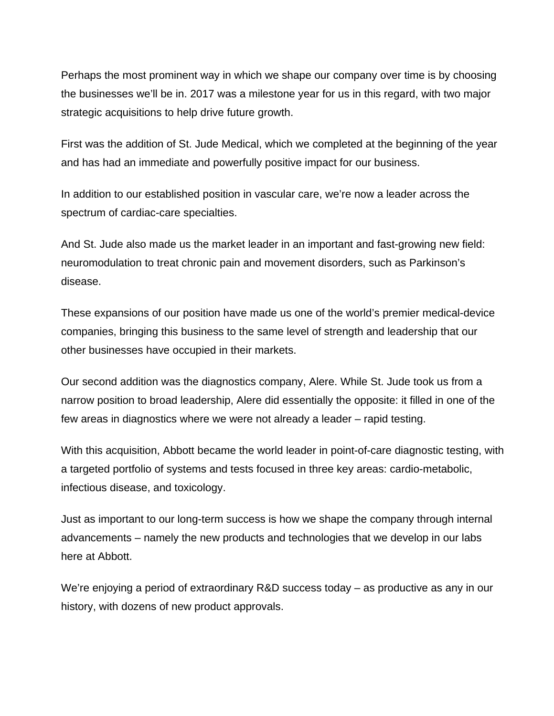Perhaps the most prominent way in which we shape our company over time is by choosing the businesses we'll be in. 2017 was a milestone year for us in this regard, with two major strategic acquisitions to help drive future growth.

First was the addition of St. Jude Medical, which we completed at the beginning of the year and has had an immediate and powerfully positive impact for our business.

In addition to our established position in vascular care, we're now a leader across the spectrum of cardiac-care specialties.

And St. Jude also made us the market leader in an important and fast-growing new field: neuromodulation to treat chronic pain and movement disorders, such as Parkinson's disease.

These expansions of our position have made us one of the world's premier medical-device companies, bringing this business to the same level of strength and leadership that our other businesses have occupied in their markets.

Our second addition was the diagnostics company, Alere. While St. Jude took us from a narrow position to broad leadership, Alere did essentially the opposite: it filled in one of the few areas in diagnostics where we were not already a leader – rapid testing.

With this acquisition, Abbott became the world leader in point-of-care diagnostic testing, with a targeted portfolio of systems and tests focused in three key areas: cardio-metabolic, infectious disease, and toxicology.

Just as important to our long-term success is how we shape the company through internal advancements – namely the new products and technologies that we develop in our labs here at Abbott.

We're enjoying a period of extraordinary R&D success today – as productive as any in our history, with dozens of new product approvals.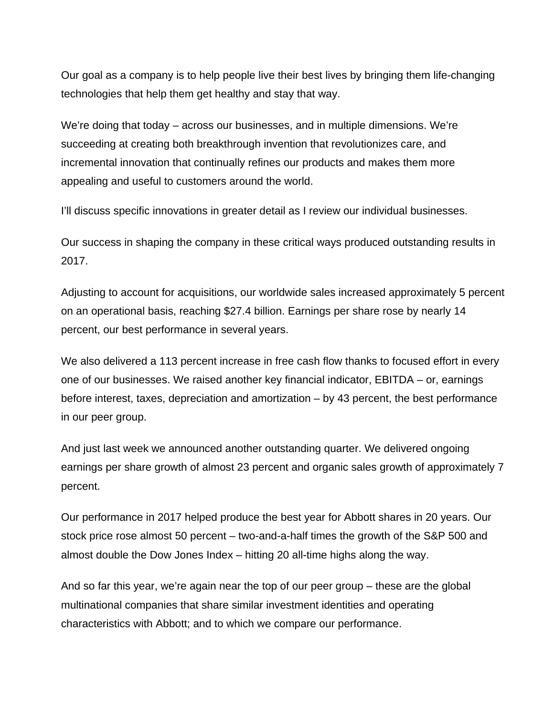Our goal as a company is to help people live their best lives by bringing them life-changing technologies that help them get healthy and stay that way.

We're doing that today – across our businesses, and in multiple dimensions. We're succeeding at creating both breakthrough invention that revolutionizes care, and incremental innovation that continually refines our products and makes them more appealing and useful to customers around the world.

I'll discuss specific innovations in greater detail as I review our individual businesses.

Our success in shaping the company in these critical ways produced outstanding results in 2017.

Adjusting to account for acquisitions, our worldwide sales increased approximately 5 percent on an operational basis, reaching \$27.4 billion. Earnings per share rose by nearly 14 percent, our best performance in several years.

We also delivered a 113 percent increase in free cash flow thanks to focused effort in every one of our businesses. We raised another key financial indicator, EBITDA – or, earnings before interest, taxes, depreciation and amortization – by 43 percent, the best performance in our peer group.

And just last week we announced another outstanding quarter. We delivered ongoing earnings per share growth of almost 23 percent and organic sales growth of approximately 7 percent.

Our performance in 2017 helped produce the best year for Abbott shares in 20 years. Our stock price rose almost 50 percent – two-and-a-half times the growth of the S&P 500 and almost double the Dow Jones Index – hitting 20 all-time highs along the way.

And so far this year, we're again near the top of our peer group – these are the global multinational companies that share similar investment identities and operating characteristics with Abbott; and to which we compare our performance.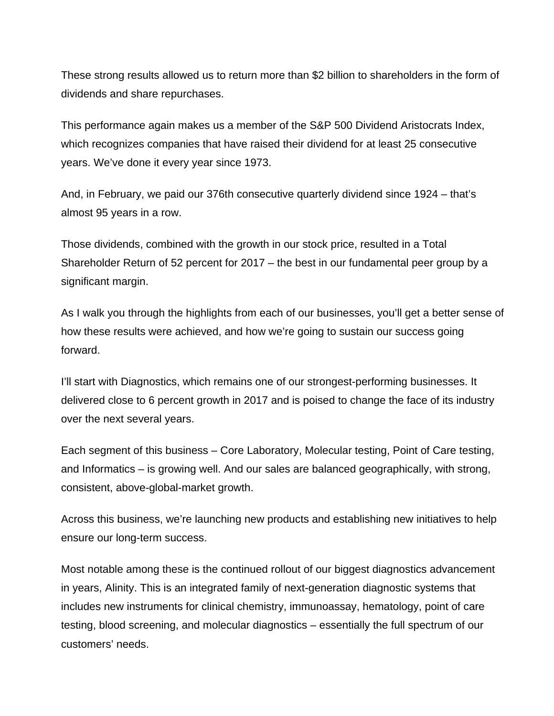These strong results allowed us to return more than \$2 billion to shareholders in the form of dividends and share repurchases.

This performance again makes us a member of the S&P 500 Dividend Aristocrats Index, which recognizes companies that have raised their dividend for at least 25 consecutive years. We've done it every year since 1973.

And, in February, we paid our 376th consecutive quarterly dividend since 1924 – that's almost 95 years in a row.

Those dividends, combined with the growth in our stock price, resulted in a Total Shareholder Return of 52 percent for 2017 – the best in our fundamental peer group by a significant margin.

As I walk you through the highlights from each of our businesses, you'll get a better sense of how these results were achieved, and how we're going to sustain our success going forward.

I'll start with Diagnostics, which remains one of our strongest-performing businesses. It delivered close to 6 percent growth in 2017 and is poised to change the face of its industry over the next several years.

Each segment of this business – Core Laboratory, Molecular testing, Point of Care testing, and Informatics – is growing well. And our sales are balanced geographically, with strong, consistent, above-global-market growth.

Across this business, we're launching new products and establishing new initiatives to help ensure our long-term success.

Most notable among these is the continued rollout of our biggest diagnostics advancement in years, Alinity. This is an integrated family of next-generation diagnostic systems that includes new instruments for clinical chemistry, immunoassay, hematology, point of care testing, blood screening, and molecular diagnostics – essentially the full spectrum of our customers' needs.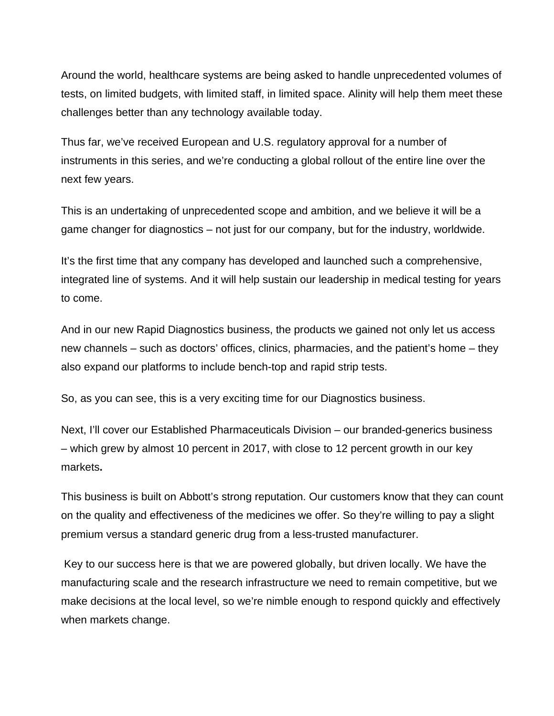Around the world, healthcare systems are being asked to handle unprecedented volumes of tests, on limited budgets, with limited staff, in limited space. Alinity will help them meet these challenges better than any technology available today.

Thus far, we've received European and U.S. regulatory approval for a number of instruments in this series, and we're conducting a global rollout of the entire line over the next few years.

This is an undertaking of unprecedented scope and ambition, and we believe it will be a game changer for diagnostics – not just for our company, but for the industry, worldwide.

It's the first time that any company has developed and launched such a comprehensive, integrated line of systems. And it will help sustain our leadership in medical testing for years to come.

And in our new Rapid Diagnostics business, the products we gained not only let us access new channels – such as doctors' offices, clinics, pharmacies, and the patient's home – they also expand our platforms to include bench-top and rapid strip tests.

So, as you can see, this is a very exciting time for our Diagnostics business.

Next, I'll cover our Established Pharmaceuticals Division – our branded-generics business – which grew by almost 10 percent in 2017, with close to 12 percent growth in our key markets**.** 

This business is built on Abbott's strong reputation. Our customers know that they can count on the quality and effectiveness of the medicines we offer. So they're willing to pay a slight premium versus a standard generic drug from a less-trusted manufacturer.

 Key to our success here is that we are powered globally, but driven locally. We have the manufacturing scale and the research infrastructure we need to remain competitive, but we make decisions at the local level, so we're nimble enough to respond quickly and effectively when markets change.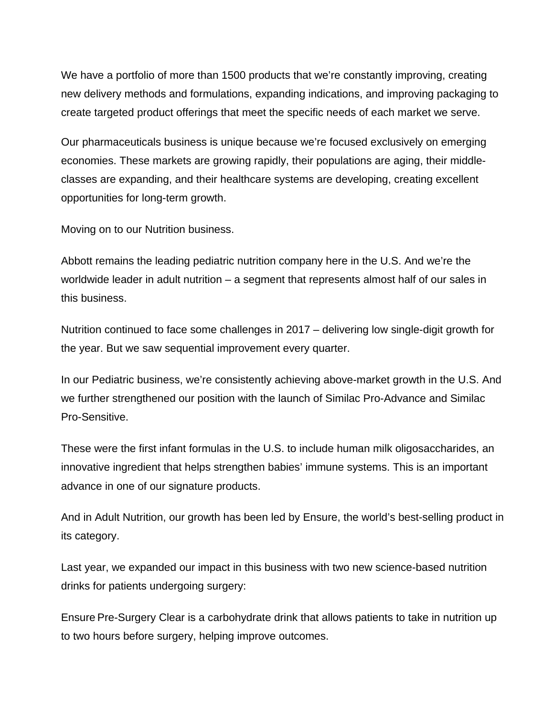We have a portfolio of more than 1500 products that we're constantly improving, creating new delivery methods and formulations, expanding indications, and improving packaging to create targeted product offerings that meet the specific needs of each market we serve.

Our pharmaceuticals business is unique because we're focused exclusively on emerging economies. These markets are growing rapidly, their populations are aging, their middleclasses are expanding, and their healthcare systems are developing, creating excellent opportunities for long-term growth.

Moving on to our Nutrition business.

Abbott remains the leading pediatric nutrition company here in the U.S. And we're the worldwide leader in adult nutrition – a segment that represents almost half of our sales in this business.

Nutrition continued to face some challenges in 2017 – delivering low single-digit growth for the year. But we saw sequential improvement every quarter.

In our Pediatric business, we're consistently achieving above-market growth in the U.S. And we further strengthened our position with the launch of Similac Pro-Advance and Similac Pro-Sensitive.

These were the first infant formulas in the U.S. to include human milk oligosaccharides, an innovative ingredient that helps strengthen babies' immune systems. This is an important advance in one of our signature products.

And in Adult Nutrition, our growth has been led by Ensure, the world's best-selling product in its category.

Last year, we expanded our impact in this business with two new science-based nutrition drinks for patients undergoing surgery:

Ensure Pre-Surgery Clear is a carbohydrate drink that allows patients to take in nutrition up to two hours before surgery, helping improve outcomes.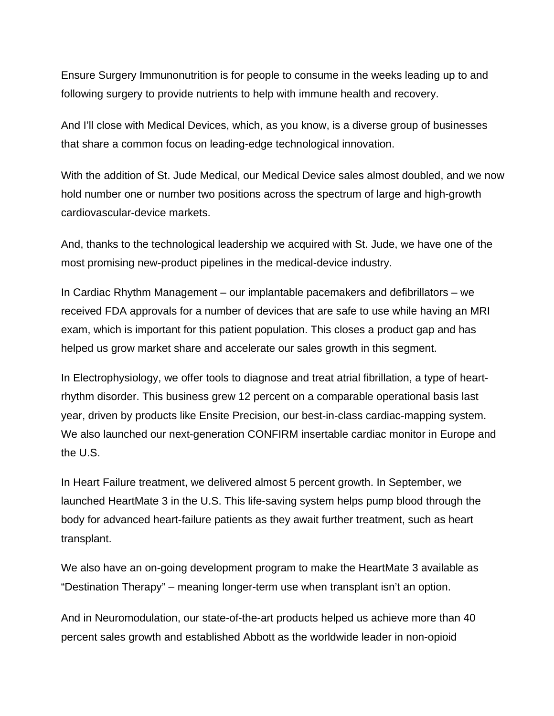Ensure Surgery Immunonutrition is for people to consume in the weeks leading up to and following surgery to provide nutrients to help with immune health and recovery.

And I'll close with Medical Devices, which, as you know, is a diverse group of businesses that share a common focus on leading-edge technological innovation.

With the addition of St. Jude Medical, our Medical Device sales almost doubled, and we now hold number one or number two positions across the spectrum of large and high-growth cardiovascular-device markets.

And, thanks to the technological leadership we acquired with St. Jude, we have one of the most promising new-product pipelines in the medical-device industry.

In Cardiac Rhythm Management – our implantable pacemakers and defibrillators – we received FDA approvals for a number of devices that are safe to use while having an MRI exam, which is important for this patient population. This closes a product gap and has helped us grow market share and accelerate our sales growth in this segment.

In Electrophysiology, we offer tools to diagnose and treat atrial fibrillation, a type of heartrhythm disorder. This business grew 12 percent on a comparable operational basis last year, driven by products like Ensite Precision, our best-in-class cardiac-mapping system. We also launched our next-generation CONFIRM insertable cardiac monitor in Europe and the U.S.

In Heart Failure treatment, we delivered almost 5 percent growth. In September, we launched HeartMate 3 in the U.S. This life-saving system helps pump blood through the body for advanced heart-failure patients as they await further treatment, such as heart transplant.

We also have an on-going development program to make the HeartMate 3 available as "Destination Therapy" – meaning longer-term use when transplant isn't an option.

And in Neuromodulation, our state-of-the-art products helped us achieve more than 40 percent sales growth and established Abbott as the worldwide leader in non-opioid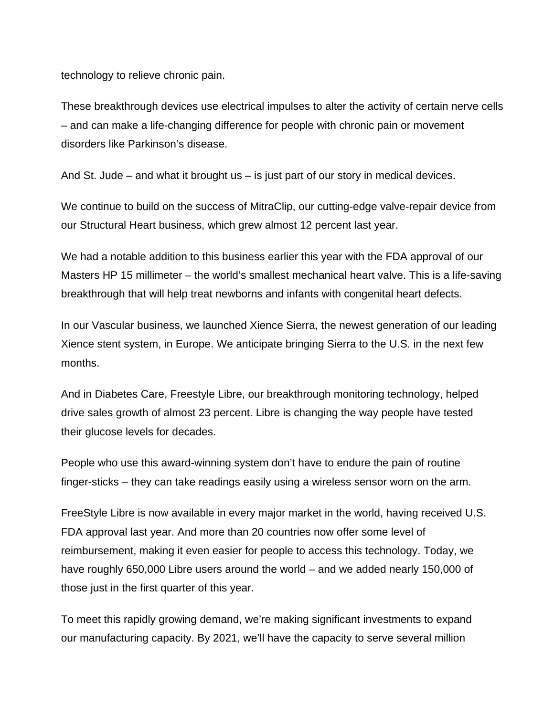technology to relieve chronic pain.

These breakthrough devices use electrical impulses to alter the activity of certain nerve cells – and can make a life-changing difference for people with chronic pain or movement disorders like Parkinson's disease.

And St. Jude – and what it brought us – is just part of our story in medical devices.

We continue to build on the success of MitraClip, our cutting-edge valve-repair device from our Structural Heart business, which grew almost 12 percent last year.

We had a notable addition to this business earlier this year with the FDA approval of our Masters HP 15 millimeter – the world's smallest mechanical heart valve. This is a life-saving breakthrough that will help treat newborns and infants with congenital heart defects.

In our Vascular business, we launched Xience Sierra, the newest generation of our leading Xience stent system, in Europe. We anticipate bringing Sierra to the U.S. in the next few months.

And in Diabetes Care, Freestyle Libre, our breakthrough monitoring technology, helped drive sales growth of almost 23 percent. Libre is changing the way people have tested their glucose levels for decades.

People who use this award-winning system don't have to endure the pain of routine finger-sticks – they can take readings easily using a wireless sensor worn on the arm.

FreeStyle Libre is now available in every major market in the world, having received U.S. FDA approval last year. And more than 20 countries now offer some level of reimbursement, making it even easier for people to access this technology. Today, we have roughly 650,000 Libre users around the world – and we added nearly 150,000 of those just in the first quarter of this year.

To meet this rapidly growing demand, we're making significant investments to expand our manufacturing capacity. By 2021, we'll have the capacity to serve several million